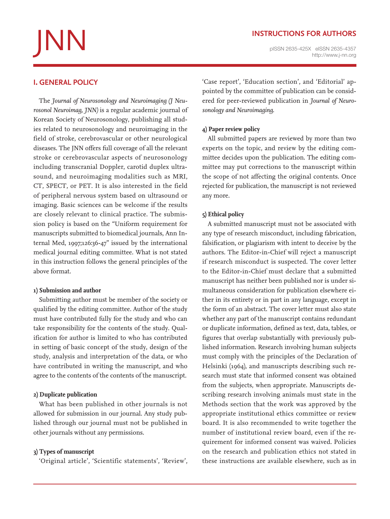# **http://www.j-nn.org JNNN**<br>plssN 2635-425X elssN 2635-4357<br>http://www.j-nn.org

# **Instructions for Authors**

# **I. General policy**

The *Journal of Neurosonology and Neuroimaging (J Neurosonol Neuroimag, JNN)* is a regular academic journal of Korean Society of Neurosonology, publishing all studies related to neurosonology and neuroimaging in the field of stroke, cerebrovascular or other neurological diseases. The JNN offers full coverage of all the relevant stroke or cerebrovascular aspects of neurosonology including transcranial Doppler, carotid duplex ultrasound, and neuroimaging modalities such as MRI, CT, SPECT, or PET. It is also interested in the field of peripheral nervous system based on ultrasound or imaging. Basic sciences can be welcome if the results are closely relevant to clinical practice. The submission policy is based on the "Uniform requirement for manuscripts submitted to biomedical journals, Ann Internal Med, 1997;126:36-47" issued by the international medical journal editing committee. What is not stated in this instruction follows the general principles of the above format.

#### **1) Submission and author**

Submitting author must be member of the society or qualified by the editing committee. Author of the study must have contributed fully for the study and who can take responsibility for the contents of the study. Qualification for author is limited to who has contributed in setting of basic concept of the study, design of the study, analysis and interpretation of the data, or who have contributed in writing the manuscript, and who agree to the contents of the contents of the manuscript.

#### **2) Duplicate publication**

What has been published in other journals is not allowed for submission in our journal. Any study published through our journal must not be published in other journals without any permissions.

#### **3) Types of manuscript**

'Original article', 'Scientific statements', 'Review',

'Case report', 'Education section', and 'Editorial' appointed by the committee of publication can be considered for peer-reviewed publication in *Journal of Neurosonology and Neuroimaging*.

#### **4) Paper review policy**

All submitted papers are reviewed by more than two experts on the topic, and review by the editing committee decides upon the publication. The editing committee may put corrections to the manuscript within the scope of not affecting the original contents. Once rejected for publication, the manuscript is not reviewed any more.

# **5) Ethical policy**

A submitted manuscript must not be associated with any type of research misconduct, including fabrication, falsification, or plagiarism with intent to deceive by the authors. The Editor-in-Chief will reject a manuscript if research misconduct is suspected. The cover letter to the Editor-in-Chief must declare that a submitted manuscript has neither been published nor is under simultaneous consideration for publication elsewhere either in its entirety or in part in any language, except in the form of an abstract. The cover letter must also state whether any part of the manuscript contains redundant or duplicate information, defined as text, data, tables, or figures that overlap substantially with previously published information. Research involving human subjects must comply with the principles of the Declaration of Helsinki (1964), and manuscripts describing such research must state that informed consent was obtained from the subjects, when appropriate. Manuscripts describing research involving animals must state in the Methods section that the work was approved by the appropriate institutional ethics committee or review board. It is also recommended to write together the number of institutional review board, even if the requirement for informed consent was waived. Policies on the research and publication ethics not stated in these instructions are available elsewhere, such as in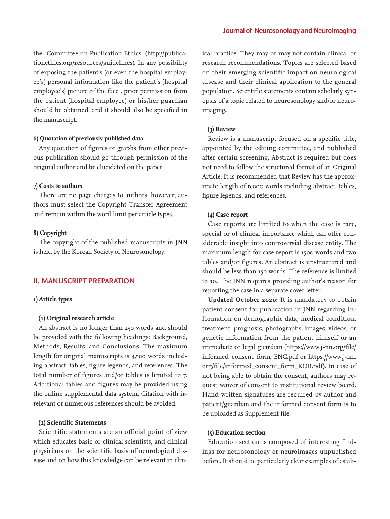the "Committee on Publication Ethics" (http://publicationethics.org/resources/guidelines). In any possibility of exposing the patient's (or even the hospital employee's) personal information like the patient's (hospital employee's) picture of the face , prior permission from the patient (hospital employee) or his/her guardian should be obtained, and it should also be specified in the manuscript.

#### **6) Quotation of previously published data**

Any quotation of figures or graphs from other previous publication should go through permission of the original author and be elucidated on the paper.

#### **7) Costs to authors**

There are no page charges to authors, however, authors must select the Copyright Transfer Agreement and remain within the word limit per article types.

#### **8) Copyright**

The copyright of the published manuscripts in JNN is held by the Korean Society of Neurosonology.

#### **II. Manuscript Preparation**

#### **1) Article types**

#### **(1) Original research article**

An abstract is no longer than 250 words and should be provided with the following headings: Background, Methods, Results, and Conclusions. The maximum length for original manuscripts is 4,500 words including abstract, tables, figure legends, and references. The total number of figures and/or tables is limited to 7. Additional tables and figures may be provided using the online supplemental data system. Citation with irrelevant or numerous references should be avoided.

#### **(2) Scientific Statements**

Scientific statements are an official point of view which educates basic or clinical scientists, and clinical physicians on the scientific basis of neurological disease and on how this knowledge can be relevant in clinical practice. They may or may not contain clinical or research recommendations. Topics are selected based on their emerging scientific impact on neurological disease and their clinical application to the general population. Scientific statements contain scholarly synopsis of a topic related to neurosonology and/or neuroimaging.

#### **(3) Review**

Review is a manuscript focused on a specific title, appointed by the editing committee, and published after certain screening. Abstract is required but does not need to follow the structured format of an Original Article. It is recommended that Review has the approximate length of 6,000 words including abstract, tables, figure legends, and references.

#### **(4) Case report**

Case reports are limited to when the case is rare, special or of clinical importance which can offer considerable insight into controversial disease entity. The maximum length for case report is 1500 words and two tables and/or figures. An abstract is unstructured and should be less than 150 words. The reference is limited to 10. The JNN requires providing author's reason for reporting the case in a separate cover letter.

**Updated October 2020:** It is mandatory to obtain patient consent for publication in JNN regarding information on demographic data, medical condition, treatment, prognosis, photographs, images, videos, or genetic information from the patient himself or an immediate or legal guardian (https://www.j-nn.org/file/ informed\_consent\_form\_ENG.pdf or https://www.j-nn. org/file/informed\_consent\_form\_KOR.pdf). In case of not being able to obtain the consent, authors may request waiver of consent to institutional review board. Hand-written signatures are required by author and patient/guardian and the informed consent form is to be uploaded as Supplement file.

#### **(5) Education section**

Education section is composed of interesting findings for neurosonology or neuroimages unpublished before. It should be particularly clear examples of estab-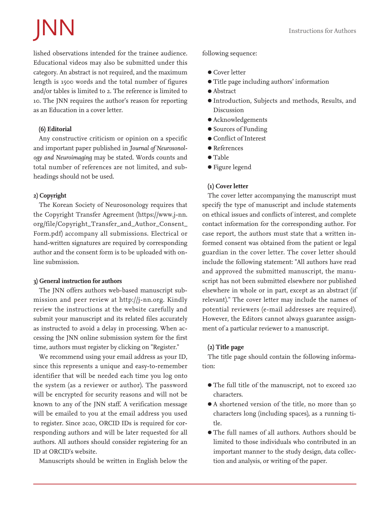# JNN Instructions for Authors

lished observations intended for the trainee audience. Educational videos may also be submitted under this category. An abstract is not required, and the maximum length is 1500 words and the total number of figures and/or tables is limited to 2. The reference is limited to 10. The JNN requires the author's reason for reporting as an Education in a cover letter.

# **(6) Editorial**

Any constructive criticism or opinion on a specific and important paper published in *Journal of Neurosonology and Neuroimaging* may be stated. Words counts and total number of references are not limited, and subheadings should not be used.

# **2) Copyright**

The Korean Society of Neurosonology requires that the Copyright Transfer Agreement (https://www.j-nn. org/file/Copyright\_Transfer\_and\_Author\_Consent\_ Form.pdf) accompany all submissions. Electrical or hand-written signatures are required by corresponding author and the consent form is to be uploaded with online submission.

# **3) General instruction for authors**

The JNN offers authors web-based manuscript submission and peer review at http://j-nn.org. Kindly review the instructions at the website carefully and submit your manuscript and its related files accurately as instructed to avoid a delay in processing. When accessing the JNN online submission system for the first time, authors must register by clicking on "Register."

We recommend using your email address as your ID, since this represents a unique and easy-to-remember identifier that will be needed each time you log onto the system (as a reviewer or author). The password will be encrypted for security reasons and will not be known to any of the JNN staff. A verification message will be emailed to you at the email address you used to register. Since 2020, ORCID IDs is required for corresponding authors and will be later requested for all authors. All authors should consider registering for an ID at ORCID's website.

Manuscripts should be written in English below the

# following sequence:

- Cover letter
- Title page including authors' information
- Abstract
- Introduction, Subjects and methods, Results, and Discussion
- Acknowledgements
- Sources of Funding
- Conflict of Interest
- References
- Table
- Figure legend

# **(1) Cover letter**

The cover letter accompanying the manuscript must specify the type of manuscript and include statements on ethical issues and conflicts of interest, and complete contact information for the corresponding author. For case report, the authors must state that a written informed consent was obtained from the patient or legal guardian in the cover letter. The cover letter should include the following statement: "All authors have read and approved the submitted manuscript, the manuscript has not been submitted elsewhere nor published elsewhere in whole or in part, except as an abstract (if relevant)." The cover letter may include the names of potential reviewers (e-mail addresses are required). However, the Editors cannot always guarantee assignment of a particular reviewer to a manuscript.

# **(2) Title page**

The title page should contain the following information:

- The full title of the manuscript, not to exceed 120 characters.
- A shortened version of the title, no more than 50 characters long (including spaces), as a running title.
- The full names of all authors. Authors should be limited to those individuals who contributed in an important manner to the study design, data collection and analysis, or writing of the paper.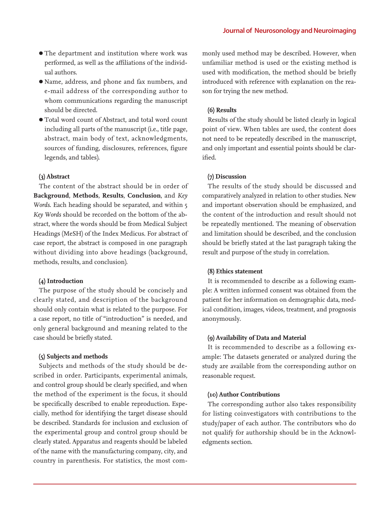- The department and institution where work was performed, as well as the affiliations of the individual authors.
- Name, address, and phone and fax numbers, and e-mail address of the corresponding author to whom communications regarding the manuscript should be directed.
- Total word count of Abstract, and total word count including all parts of the manuscript (i.e., title page, abstract, main body of text, acknowledgments, sources of funding, disclosures, references, figure legends, and tables).

# **(3) Abstract**

The content of the abstract should be in order of **Background**, **Methods**, **Results**, **Conclusion**, and *Key Words*. Each heading should be separated, and within 5 *Key Words* should be recorded on the bottom of the abstract, where the words should be from Medical Subject Headings (MeSH) of the Index Medicus. For abstract of case report, the abstract is composed in one paragraph without dividing into above headings (background, methods, results, and conclusion).

#### **(4) Introduction**

The purpose of the study should be concisely and clearly stated, and description of the background should only contain what is related to the purpose. For a case report, no title of "introduction" is needed, and only general background and meaning related to the case should be briefly stated.

#### **(5) Subjects and methods**

Subjects and methods of the study should be described in order. Participants, experimental animals, and control group should be clearly specified, and when the method of the experiment is the focus, it should be specifically described to enable reproduction. Especially, method for identifying the target disease should be described. Standards for inclusion and exclusion of the experimental group and control group should be clearly stated. Apparatus and reagents should be labeled of the name with the manufacturing company, city, and country in parenthesis. For statistics, the most commonly used method may be described. However, when unfamiliar method is used or the existing method is used with modification, the method should be briefly introduced with reference with explanation on the reason for trying the new method.

#### **(6) Results**

Results of the study should be listed clearly in logical point of view. When tables are used, the content does not need to be repeatedly described in the manuscript, and only important and essential points should be clarified.

#### **(7) Discussion**

The results of the study should be discussed and comparatively analyzed in relation to other studies. New and important observation should be emphasized, and the content of the introduction and result should not be repeatedly mentioned. The meaning of observation and limitation should be described, and the conclusion should be briefly stated at the last paragraph taking the result and purpose of the study in correlation.

#### **(8) Ethics statement**

It is recommended to describe as a following example: A written informed consent was obtained from the patient for her information on demographic data, medical condition, images, videos, treatment, and prognosis anonymously.

#### **(9) Availability of Data and Material**

It is recommended to describe as a following example: The datasets generated or analyzed during the study are available from the corresponding author on reasonable request.

#### **(10) Author Contributions**

The corresponding author also takes responsibility for listing coinvestigators with contributions to the study/paper of each author. The contributors who do not qualify for authorship should be in the Acknowledgments section.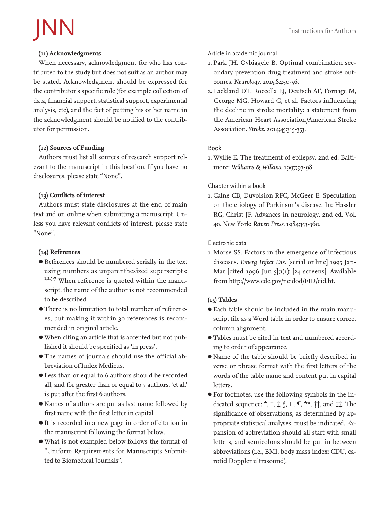# JNN Instructions for Authors

# **(11) Acknowledgments**

When necessary, acknowledgment for who has contributed to the study but does not suit as an author may be stated. Acknowledgment should be expressed for the contributor's specific role (for example collection of data, financial support, statistical support, experimental analysis, etc), and the fact of putting his or her name in the acknowledgment should be notified to the contributor for permission.

# **(12) Sources of Funding**

Authors must list all sources of research support relevant to the manuscript in this location. If you have no disclosures, please state "None".

# **(13) Conflicts of interest**

Authors must state disclosures at the end of main text and on online when submitting a manuscript. Unless you have relevant conflicts of interest, please state "None".

# **(14) References**

- References should be numbered serially in the text using numbers as unparenthesized superscripts: 1,2,5-7 When reference is quoted within the manuscript, the name of the author is not recommended to be described.
- There is no limitation to total number of references, but making it within 30 references is recommended in original article.
- When citing an article that is accepted but not published it should be specified as 'in press'.
- The names of journals should use the official abbreviation of Index Medicus.
- Less than or equal to 6 authors should be recorded all, and for greater than or equal to 7 authors, 'et al.' is put after the first 6 authors.
- Names of authors are put as last name followed by first name with the first letter in capital.
- It is recorded in a new page in order of citation in the manuscript following the format below.
- What is not exampled below follows the format of "Uniform Requirements for Manuscripts Submitted to Biomedical Journals".

# Article in academic journal

- 1. Park JH. Ovbiagele B. Optimal combination secondary prevention drug treatment and stroke outcomes. *Neurology*. 2015;84:50-56.
- 2. Lackland DT, Roccella EJ, Deutsch AF, Fornage M, George MG, Howard G, et al. Factors influencing the decline in stroke mortality: a statement from the American Heart Association/American Stroke Association. *Stroke*. 2014;45:315-353.

# Book

1. Wyllie E. The treatmemt of epilepsy. 2nd ed. Baltimore: *Williams & Wilkins*. 1997;97-98.

# Chapter within a book

1. Calne CB, Duvoision RFC, McGeer E. Speculation on the etiology of Parkinson's disease. In: Hassler RG, Christ JF. Advances in neurology. 2nd ed. Vol. 40. New York: *Raven Press*. 1984;353-360.

# Electronic data

1. Morse SS. Factors in the emergence of infectious diseases. *Emerg Infect Dis*. [serial online] 1995 Jan-Mar [cited 1996 Jun 5];1(1): [24 screens]. Available from http://www.cdc.gov/ncidod/EID/eid.ht.

# **(15) Tables**

- Each table should be included in the main manuscript file as a Word table in order to ensure correct column alignment.
- Tables must be cited in text and numbered according to order of appearance.
- Name of the table should be briefly described in verse or phrase format with the first letters of the words of the table name and content put in capital letters.
- For footnotes, use the following symbols in the indicated sequence:  $*, \dagger, \dagger, \S, \parallel, \P, **, \dagger\dagger$ , and  $\ddagger\ddagger$ . The significance of observations, as determined by appropriate statistical analyses, must be indicated. Expansion of abbreviation should all start with small letters, and semicolons should be put in between abbreviations (i.e., BMI, body mass index; CDU, carotid Doppler ultrasound).